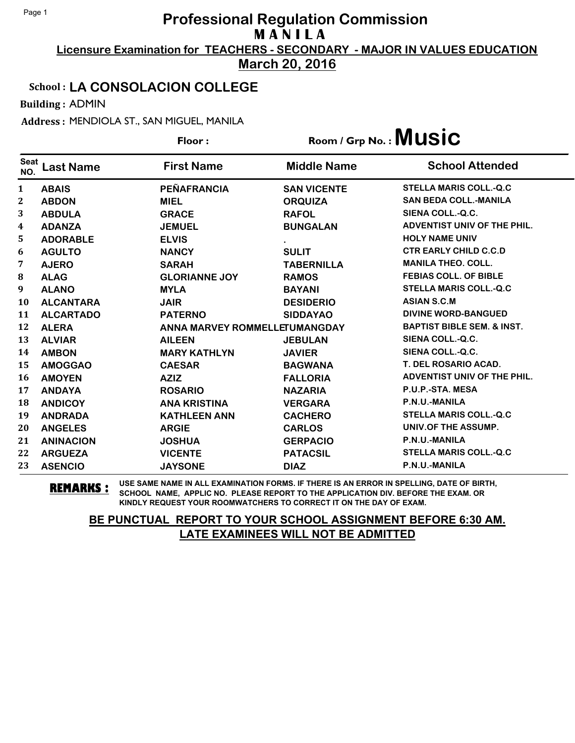**Licensure Examination for TEACHERS - SECONDARY - MAJOR IN VALUES EDUCATION March 20, 2016**

### School : **LA CONSOLACION COLLEGE**

Building : ADMIN

Address : MENDIOLA ST., SAN MIGUEL, MANILA

|                    |                  | Floor:                        |                    | $Room / Grp No.:$ Music               |
|--------------------|------------------|-------------------------------|--------------------|---------------------------------------|
| <b>Seat</b><br>NO. | Last Name        | <b>First Name</b>             | <b>Middle Name</b> | <b>School Attended</b>                |
| $\mathbf{1}$       | <b>ABAIS</b>     | PEÑAFRANCIA                   | <b>SAN VICENTE</b> | <b>STELLA MARIS COLL.-Q.C</b>         |
| 2                  | <b>ABDON</b>     | <b>MIEL</b>                   | <b>ORQUIZA</b>     | <b>SAN BEDA COLL.-MANILA</b>          |
| 3                  | <b>ABDULA</b>    | <b>GRACE</b>                  | <b>RAFOL</b>       | SIENA COLL.-Q.C.                      |
| 4                  | <b>ADANZA</b>    | <b>JEMUEL</b>                 | <b>BUNGALAN</b>    | <b>ADVENTIST UNIV OF THE PHIL.</b>    |
| 5                  | <b>ADORABLE</b>  | <b>ELVIS</b>                  |                    | <b>HOLY NAME UNIV</b>                 |
| 6                  | <b>AGULTO</b>    | <b>NANCY</b>                  | <b>SULIT</b>       | <b>CTR EARLY CHILD C.C.D</b>          |
| 7                  | <b>AJERO</b>     | <b>SARAH</b>                  | <b>TABERNILLA</b>  | <b>MANILA THEO. COLL.</b>             |
| 8                  | <b>ALAG</b>      | <b>GLORIANNE JOY</b>          | <b>RAMOS</b>       | <b>FEBIAS COLL. OF BIBLE</b>          |
| 9                  | <b>ALANO</b>     | <b>MYLA</b>                   | <b>BAYANI</b>      | <b>STELLA MARIS COLL.-Q.C</b>         |
| 10                 | <b>ALCANTARA</b> | <b>JAIR</b>                   | <b>DESIDERIO</b>   | <b>ASIAN S.C.M</b>                    |
| 11                 | <b>ALCARTADO</b> | <b>PATERNO</b>                | <b>SIDDAYAO</b>    | <b>DIVINE WORD-BANGUED</b>            |
| 12                 | <b>ALERA</b>     | ANNA MARVEY ROMMELLETUMANGDAY |                    | <b>BAPTIST BIBLE SEM. &amp; INST.</b> |
| 13                 | <b>ALVIAR</b>    | <b>AILEEN</b>                 | <b>JEBULAN</b>     | SIENA COLL.-Q.C.                      |
| 14                 | <b>AMBON</b>     | <b>MARY KATHLYN</b>           | <b>JAVIER</b>      | SIENA COLL.-Q.C.                      |
| 15                 | <b>AMOGGAO</b>   | <b>CAESAR</b>                 | <b>BAGWANA</b>     | T. DEL ROSARIO ACAD.                  |
| 16                 | <b>AMOYEN</b>    | <b>AZIZ</b>                   | <b>FALLORIA</b>    | <b>ADVENTIST UNIV OF THE PHIL.</b>    |
| 17                 | <b>ANDAYA</b>    | <b>ROSARIO</b>                | <b>NAZARIA</b>     | P.U.P.-STA. MESA                      |
| 18                 | <b>ANDICOY</b>   | <b>ANA KRISTINA</b>           | <b>VERGARA</b>     | P.N.U.-MANILA                         |
| 19                 | <b>ANDRADA</b>   | <b>KATHLEEN ANN</b>           | <b>CACHERO</b>     | <b>STELLA MARIS COLL.-Q.C</b>         |
| 20                 | <b>ANGELES</b>   | <b>ARGIE</b>                  | <b>CARLOS</b>      | UNIV.OF THE ASSUMP.                   |
| 21                 | <b>ANINACION</b> | <b>JOSHUA</b>                 | <b>GERPACIO</b>    | P.N.U.-MANILA                         |
| 22                 | <b>ARGUEZA</b>   | <b>VICENTE</b>                | <b>PATACSIL</b>    | <b>STELLA MARIS COLL.-Q.C</b>         |
| 23                 | <b>ASENCIO</b>   | <b>JAYSONE</b>                | <b>DIAZ</b>        | P.N.U.-MANILA                         |

**REMARKS :** USE SAME NAME IN ALL EXAMINATION FORMS. IF THERE IS AN ERROR IN SPELLING, DATE OF BIRTH, SCHOOL NAME, APPLIC NO. PLEASE REPORT TO THE APPLICATION DIV. BEFORE THE EXAM. OR KINDLY REQUEST YOUR ROOMWATCHERS TO CORRECT IT ON THE DAY OF EXAM.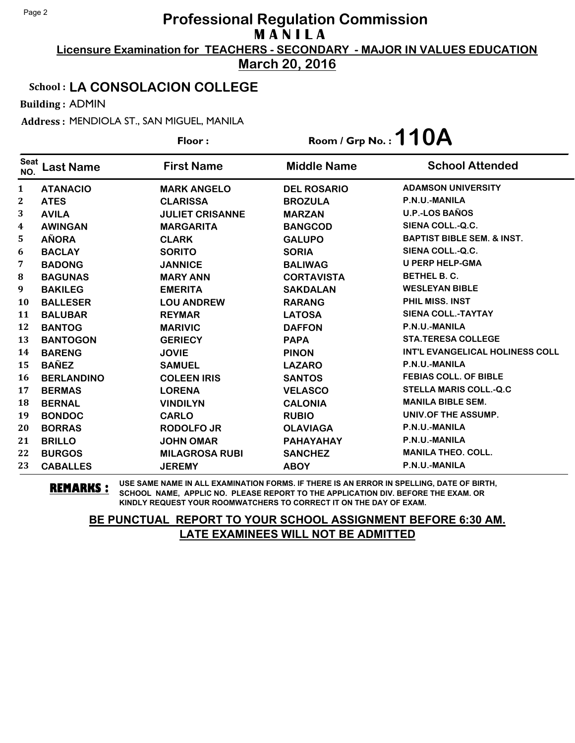**Licensure Examination for TEACHERS - SECONDARY - MAJOR IN VALUES EDUCATION March 20, 2016**

### School : **LA CONSOLACION COLLEGE**

Building : ADMIN

Address : MENDIOLA ST., SAN MIGUEL, MANILA

|                    |                   | Floor:                 | Room / Grp No.: $110A$ |                                        |
|--------------------|-------------------|------------------------|------------------------|----------------------------------------|
| <b>Seat</b><br>NO. | Last Name         | <b>First Name</b>      | <b>Middle Name</b>     | <b>School Attended</b>                 |
| 1                  | <b>ATANACIO</b>   | <b>MARK ANGELO</b>     | <b>DEL ROSARIO</b>     | <b>ADAMSON UNIVERSITY</b>              |
| $\mathbf 2$        | <b>ATES</b>       | <b>CLARISSA</b>        | <b>BROZULA</b>         | P.N.U.-MANILA                          |
| 3                  | <b>AVILA</b>      | <b>JULIET CRISANNE</b> | <b>MARZAN</b>          | <b>U.P.-LOS BAÑOS</b>                  |
| 4                  | <b>AWINGAN</b>    | <b>MARGARITA</b>       | <b>BANGCOD</b>         | SIENA COLL.-Q.C.                       |
| 5                  | <b>AÑORA</b>      | <b>CLARK</b>           | <b>GALUPO</b>          | <b>BAPTIST BIBLE SEM. &amp; INST.</b>  |
| 6                  | <b>BACLAY</b>     | <b>SORITO</b>          | <b>SORIA</b>           | SIENA COLL.-Q.C.                       |
| 7                  | <b>BADONG</b>     | <b>JANNICE</b>         | <b>BALIWAG</b>         | <b>U PERP HELP-GMA</b>                 |
| 8                  | <b>BAGUNAS</b>    | <b>MARY ANN</b>        | <b>CORTAVISTA</b>      | <b>BETHEL B. C.</b>                    |
| 9                  | <b>BAKILEG</b>    | <b>EMERITA</b>         | <b>SAKDALAN</b>        | <b>WESLEYAN BIBLE</b>                  |
| 10                 | <b>BALLESER</b>   | <b>LOU ANDREW</b>      | <b>RARANG</b>          | PHIL MISS. INST                        |
| 11                 | <b>BALUBAR</b>    | <b>REYMAR</b>          | <b>LATOSA</b>          | <b>SIENA COLL.-TAYTAY</b>              |
| 12                 | <b>BANTOG</b>     | <b>MARIVIC</b>         | <b>DAFFON</b>          | P.N.U.-MANILA                          |
| 13                 | <b>BANTOGON</b>   | <b>GERIECY</b>         | <b>PAPA</b>            | <b>STA.TERESA COLLEGE</b>              |
| 14                 | <b>BARENG</b>     | <b>JOVIE</b>           | <b>PINON</b>           | <b>INT'L EVANGELICAL HOLINESS COLL</b> |
| 15                 | <b>BAÑEZ</b>      | <b>SAMUEL</b>          | <b>LAZARO</b>          | P.N.U.-MANILA                          |
| 16                 | <b>BERLANDINO</b> | <b>COLEEN IRIS</b>     | <b>SANTOS</b>          | <b>FEBIAS COLL. OF BIBLE</b>           |
| 17                 | <b>BERMAS</b>     | <b>LORENA</b>          | <b>VELASCO</b>         | <b>STELLA MARIS COLL.-Q.C</b>          |
| 18                 | <b>BERNAL</b>     | <b>VINDILYN</b>        | <b>CALONIA</b>         | <b>MANILA BIBLE SEM.</b>               |
| 19                 | <b>BONDOC</b>     | <b>CARLO</b>           | <b>RUBIO</b>           | UNIV.OF THE ASSUMP.                    |
| 20                 | <b>BORRAS</b>     | <b>RODOLFO JR</b>      | <b>OLAVIAGA</b>        | P.N.U.-MANILA                          |
| 21                 | <b>BRILLO</b>     | <b>JOHN OMAR</b>       | PAHAYAHAY              | P.N.U.-MANILA                          |
| 22                 | <b>BURGOS</b>     | <b>MILAGROSA RUBI</b>  | <b>SANCHEZ</b>         | <b>MANILA THEO. COLL.</b>              |
| 23                 | <b>CABALLES</b>   | <b>JEREMY</b>          | <b>ABOY</b>            | P.N.U.-MANILA                          |

**REMARKS :** USE SAME NAME IN ALL EXAMINATION FORMS. IF THERE IS AN ERROR IN SPELLING, DATE OF BIRTH, SCHOOL NAME, APPLIC NO. PLEASE REPORT TO THE APPLICATION DIV. BEFORE THE EXAM. OR KINDLY REQUEST YOUR ROOMWATCHERS TO CORRECT IT ON THE DAY OF EXAM.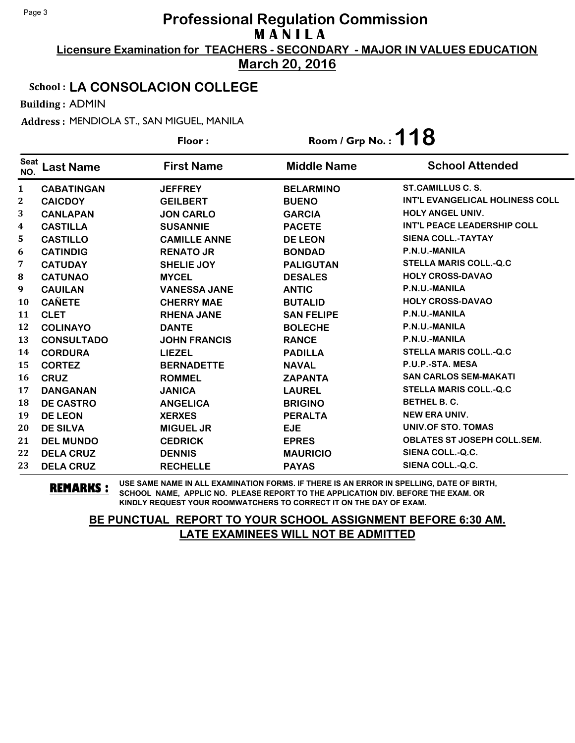**Licensure Examination for TEACHERS - SECONDARY - MAJOR IN VALUES EDUCATION March 20, 2016**

### School : **LA CONSOLACION COLLEGE**

Building : ADMIN

Address : MENDIOLA ST., SAN MIGUEL, MANILA

|                    |                   | Floor:              | Room / Grp No.: $118$ |                                        |
|--------------------|-------------------|---------------------|-----------------------|----------------------------------------|
| <b>Seat</b><br>NO. | Last Name         | <b>First Name</b>   | <b>Middle Name</b>    | <b>School Attended</b>                 |
| 1                  | <b>CABATINGAN</b> | <b>JEFFREY</b>      | <b>BELARMINO</b>      | ST.CAMILLUS C. S.                      |
| 2                  | <b>CAICDOY</b>    | <b>GEILBERT</b>     | <b>BUENO</b>          | <b>INT'L EVANGELICAL HOLINESS COLL</b> |
| 3                  | <b>CANLAPAN</b>   | <b>JON CARLO</b>    | <b>GARCIA</b>         | <b>HOLY ANGEL UNIV.</b>                |
| 4                  | <b>CASTILLA</b>   | <b>SUSANNIE</b>     | <b>PACETE</b>         | INT'L PEACE LEADERSHIP COLL            |
| 5                  | <b>CASTILLO</b>   | <b>CAMILLE ANNE</b> | <b>DE LEON</b>        | <b>SIENA COLL.-TAYTAY</b>              |
| 6                  | <b>CATINDIG</b>   | <b>RENATO JR</b>    | <b>BONDAD</b>         | P.N.U.-MANILA                          |
| 7                  | <b>CATUDAY</b>    | <b>SHELIE JOY</b>   | <b>PALIGUTAN</b>      | <b>STELLA MARIS COLL.-Q.C</b>          |
| 8                  | <b>CATUNAO</b>    | <b>MYCEL</b>        | <b>DESALES</b>        | <b>HOLY CROSS-DAVAO</b>                |
| 9                  | <b>CAUILAN</b>    | <b>VANESSA JANE</b> | <b>ANTIC</b>          | P.N.U.-MANILA                          |
| 10                 | <b>CAÑETE</b>     | <b>CHERRY MAE</b>   | <b>BUTALID</b>        | <b>HOLY CROSS-DAVAO</b>                |
| 11                 | <b>CLET</b>       | <b>RHENA JANE</b>   | <b>SAN FELIPE</b>     | P.N.U.-MANILA                          |
| 12                 | <b>COLINAYO</b>   | <b>DANTE</b>        | <b>BOLECHE</b>        | P.N.U.-MANILA                          |
| 13                 | <b>CONSULTADO</b> | <b>JOHN FRANCIS</b> | <b>RANCE</b>          | P.N.U.-MANILA                          |
| 14                 | <b>CORDURA</b>    | <b>LIEZEL</b>       | <b>PADILLA</b>        | <b>STELLA MARIS COLL.-Q.C</b>          |
| 15                 | <b>CORTEZ</b>     | <b>BERNADETTE</b>   | <b>NAVAL</b>          | P.U.P.-STA. MESA                       |
| 16                 | <b>CRUZ</b>       | <b>ROMMEL</b>       | <b>ZAPANTA</b>        | <b>SAN CARLOS SEM-MAKATI</b>           |
| 17                 | <b>DANGANAN</b>   | <b>JANICA</b>       | <b>LAUREL</b>         | <b>STELLA MARIS COLL.-Q.C</b>          |
| 18                 | <b>DE CASTRO</b>  | <b>ANGELICA</b>     | <b>BRIGINO</b>        | <b>BETHEL B. C.</b>                    |
| 19                 | <b>DE LEON</b>    | <b>XERXES</b>       | <b>PERALTA</b>        | <b>NEW ERA UNIV.</b>                   |
| 20                 | <b>DE SILVA</b>   | <b>MIGUEL JR</b>    | <b>EJE</b>            | UNIV.OF STO. TOMAS                     |
| 21                 | <b>DEL MUNDO</b>  | <b>CEDRICK</b>      | <b>EPRES</b>          | <b>OBLATES ST JOSEPH COLL.SEM.</b>     |
| 22                 | <b>DELA CRUZ</b>  | <b>DENNIS</b>       | <b>MAURICIO</b>       | SIENA COLL.-Q.C.                       |
| 23                 | <b>DELA CRUZ</b>  | <b>RECHELLE</b>     | <b>PAYAS</b>          | SIENA COLL.-Q.C.                       |

**REMARKS :** USE SAME NAME IN ALL EXAMINATION FORMS. IF THERE IS AN ERROR IN SPELLING, DATE OF BIRTH, SCHOOL NAME, APPLIC NO. PLEASE REPORT TO THE APPLICATION DIV. BEFORE THE EXAM. OR KINDLY REQUEST YOUR ROOMWATCHERS TO CORRECT IT ON THE DAY OF EXAM.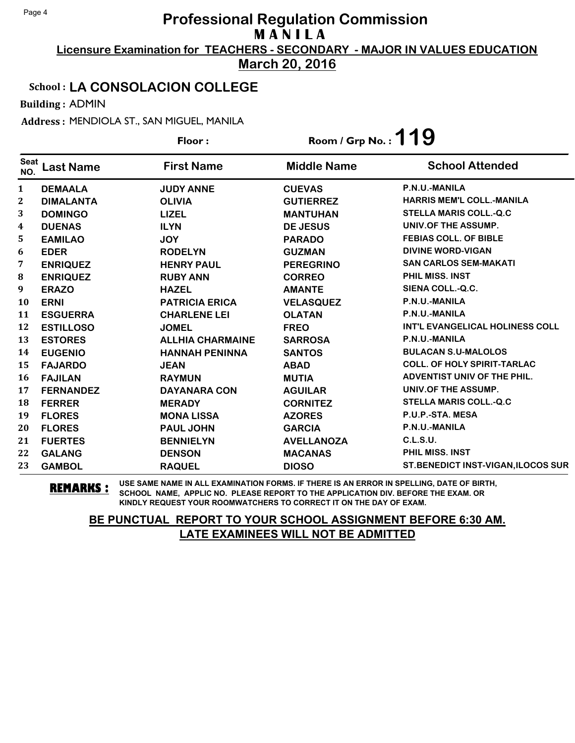## **Licensure Examination for TEACHERS - SECONDARY - MAJOR IN VALUES EDUCATION Professional Regulation Commission M A N I L A**

**March 20, 2016**

### School : **LA CONSOLACION COLLEGE**

Building : ADMIN

Address : MENDIOLA ST., SAN MIGUEL, MANILA

|                    |                  | Floor:                  | Room / Grp No.: $119$ |                                        |
|--------------------|------------------|-------------------------|-----------------------|----------------------------------------|
| <b>Seat</b><br>NO. | <b>Last Name</b> | <b>First Name</b>       | <b>Middle Name</b>    | <b>School Attended</b>                 |
| 1                  | <b>DEMAALA</b>   | <b>JUDY ANNE</b>        | <b>CUEVAS</b>         | P.N.U.-MANILA                          |
| $\boldsymbol{2}$   | <b>DIMALANTA</b> | <b>OLIVIA</b>           | <b>GUTIERREZ</b>      | <b>HARRIS MEM'L COLL.-MANILA</b>       |
| 3                  | <b>DOMINGO</b>   | <b>LIZEL</b>            | <b>MANTUHAN</b>       | <b>STELLA MARIS COLL.-Q.C</b>          |
| 4                  | <b>DUENAS</b>    | <b>ILYN</b>             | <b>DE JESUS</b>       | UNIV.OF THE ASSUMP.                    |
| 5                  | <b>EAMILAO</b>   | <b>JOY</b>              | <b>PARADO</b>         | <b>FEBIAS COLL. OF BIBLE</b>           |
| 6                  | <b>EDER</b>      | <b>RODELYN</b>          | <b>GUZMAN</b>         | <b>DIVINE WORD-VIGAN</b>               |
| 7                  | <b>ENRIQUEZ</b>  | <b>HENRY PAUL</b>       | <b>PEREGRINO</b>      | <b>SAN CARLOS SEM-MAKATI</b>           |
| 8                  | <b>ENRIQUEZ</b>  | <b>RUBY ANN</b>         | <b>CORREO</b>         | PHIL MISS, INST                        |
| 9                  | <b>ERAZO</b>     | <b>HAZEL</b>            | <b>AMANTE</b>         | SIENA COLL.-Q.C.                       |
| 10                 | <b>ERNI</b>      | <b>PATRICIA ERICA</b>   | <b>VELASQUEZ</b>      | P.N.U.-MANILA                          |
| 11                 | <b>ESGUERRA</b>  | <b>CHARLENE LEI</b>     | <b>OLATAN</b>         | P.N.U.-MANILA                          |
| 12                 | <b>ESTILLOSO</b> | <b>JOMEL</b>            | <b>FREO</b>           | <b>INT'L EVANGELICAL HOLINESS COLL</b> |
| 13                 | <b>ESTORES</b>   | <b>ALLHIA CHARMAINE</b> | <b>SARROSA</b>        | P.N.U.-MANILA                          |
| 14                 | <b>EUGENIO</b>   | <b>HANNAH PENINNA</b>   | <b>SANTOS</b>         | <b>BULACAN S.U-MALOLOS</b>             |
| 15                 | <b>FAJARDO</b>   | <b>JEAN</b>             | <b>ABAD</b>           | <b>COLL. OF HOLY SPIRIT-TARLAC</b>     |
| 16                 | <b>FAJILAN</b>   | <b>RAYMUN</b>           | <b>MUTIA</b>          | <b>ADVENTIST UNIV OF THE PHIL.</b>     |
| 17                 | <b>FERNANDEZ</b> | <b>DAYANARA CON</b>     | <b>AGUILAR</b>        | UNIV.OF THE ASSUMP.                    |
| 18                 | <b>FERRER</b>    | <b>MERADY</b>           | <b>CORNITEZ</b>       | <b>STELLA MARIS COLL.-Q.C</b>          |
| 19                 | <b>FLORES</b>    | <b>MONA LISSA</b>       | <b>AZORES</b>         | P.U.P.-STA. MESA                       |
| 20                 | <b>FLORES</b>    | <b>PAUL JOHN</b>        | <b>GARCIA</b>         | P.N.U.-MANILA                          |
| 21                 | <b>FUERTES</b>   | <b>BENNIELYN</b>        | <b>AVELLANOZA</b>     | C.L.S.U.                               |
| 22                 | <b>GALANG</b>    | <b>DENSON</b>           | <b>MACANAS</b>        | PHIL MISS, INST                        |
| 23                 | <b>GAMBOL</b>    | <b>RAQUEL</b>           | <b>DIOSO</b>          | ST.BENEDICT INST-VIGAN, ILOCOS SUR     |

**REMARKS :** USE SAME NAME IN ALL EXAMINATION FORMS. IF THERE IS AN ERROR IN SPELLING, DATE OF BIRTH, SCHOOL NAME, APPLIC NO. PLEASE REPORT TO THE APPLICATION DIV. BEFORE THE EXAM. OR KINDLY REQUEST YOUR ROOMWATCHERS TO CORRECT IT ON THE DAY OF EXAM.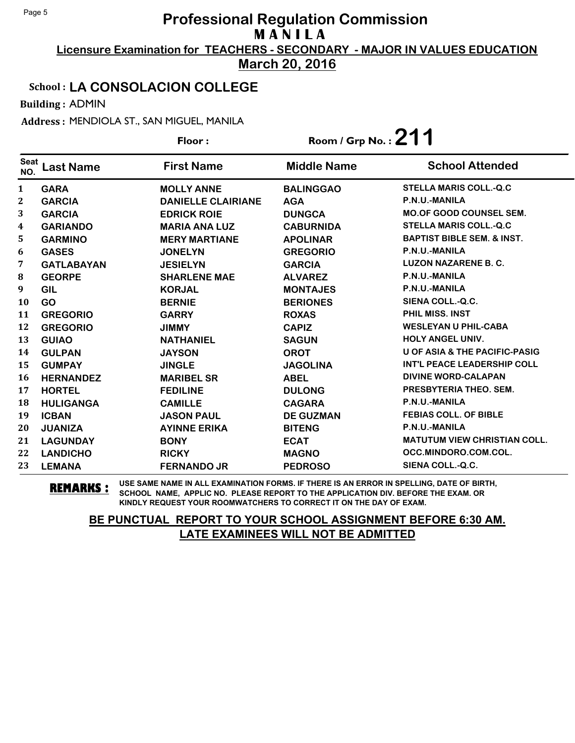## **Licensure Examination for TEACHERS - SECONDARY - MAJOR IN VALUES EDUCATION Professional Regulation Commission M A N I L A**

**March 20, 2016**

### School : **LA CONSOLACION COLLEGE**

Building : ADMIN

Address : MENDIOLA ST., SAN MIGUEL, MANILA

|                    |                   | Floor:                    | Room / Grp No.: $211$ |                                          |
|--------------------|-------------------|---------------------------|-----------------------|------------------------------------------|
| <b>Seat</b><br>NO. | Last Name         | <b>First Name</b>         | <b>Middle Name</b>    | <b>School Attended</b>                   |
| 1                  | <b>GARA</b>       | <b>MOLLY ANNE</b>         | <b>BALINGGAO</b>      | <b>STELLA MARIS COLL.-Q.C</b>            |
| 2                  | <b>GARCIA</b>     | <b>DANIELLE CLAIRIANE</b> | <b>AGA</b>            | P.N.U.-MANILA                            |
| 3                  | <b>GARCIA</b>     | <b>EDRICK ROIE</b>        | <b>DUNGCA</b>         | <b>MO.OF GOOD COUNSEL SEM.</b>           |
| 4                  | <b>GARIANDO</b>   | <b>MARIA ANA LUZ</b>      | <b>CABURNIDA</b>      | <b>STELLA MARIS COLL.-Q.C</b>            |
| 5                  | <b>GARMINO</b>    | <b>MERY MARTIANE</b>      | <b>APOLINAR</b>       | <b>BAPTIST BIBLE SEM. &amp; INST.</b>    |
| 6                  | <b>GASES</b>      | <b>JONELYN</b>            | <b>GREGORIO</b>       | P.N.U.-MANILA                            |
| 7                  | <b>GATLABAYAN</b> | <b>JESIELYN</b>           | <b>GARCIA</b>         | <b>LUZON NAZARENE B. C.</b>              |
| 8                  | <b>GEORPE</b>     | <b>SHARLENE MAE</b>       | <b>ALVAREZ</b>        | P.N.U.-MANILA                            |
| 9                  | <b>GIL</b>        | <b>KORJAL</b>             | <b>MONTAJES</b>       | P.N.U.-MANILA                            |
| 10                 | <b>GO</b>         | <b>BERNIE</b>             | <b>BERIONES</b>       | SIENA COLL.-Q.C.                         |
| 11                 | <b>GREGORIO</b>   | <b>GARRY</b>              | <b>ROXAS</b>          | <b>PHIL MISS, INST</b>                   |
| 12                 | <b>GREGORIO</b>   | <b>JIMMY</b>              | <b>CAPIZ</b>          | <b>WESLEYAN U PHIL-CABA</b>              |
| 13                 | <b>GUIAO</b>      | <b>NATHANIEL</b>          | <b>SAGUN</b>          | <b>HOLY ANGEL UNIV.</b>                  |
| 14                 | <b>GULPAN</b>     | <b>JAYSON</b>             | <b>OROT</b>           | <b>U OF ASIA &amp; THE PACIFIC-PASIG</b> |
| 15                 | <b>GUMPAY</b>     | <b>JINGLE</b>             | <b>JAGOLINA</b>       | INT'L PEACE LEADERSHIP COLL              |
| 16                 | <b>HERNANDEZ</b>  | <b>MARIBEL SR</b>         | <b>ABEL</b>           | <b>DIVINE WORD-CALAPAN</b>               |
| 17                 | <b>HORTEL</b>     | <b>FEDILINE</b>           | <b>DULONG</b>         | PRESBYTERIA THEO, SEM.                   |
| 18                 | <b>HULIGANGA</b>  | <b>CAMILLE</b>            | <b>CAGARA</b>         | P.N.U.-MANILA                            |
| 19                 | <b>ICBAN</b>      | <b>JASON PAUL</b>         | <b>DE GUZMAN</b>      | <b>FEBIAS COLL. OF BIBLE</b>             |
| 20                 | <b>JUANIZA</b>    | <b>AYINNE ERIKA</b>       | <b>BITENG</b>         | P.N.U.-MANILA                            |
| 21                 | <b>LAGUNDAY</b>   | <b>BONY</b>               | <b>ECAT</b>           | <b>MATUTUM VIEW CHRISTIAN COLL.</b>      |
| 22                 | <b>LANDICHO</b>   | <b>RICKY</b>              | <b>MAGNO</b>          | OCC.MINDORO.COM.COL.                     |
| 23                 | <b>LEMANA</b>     | <b>FERNANDO JR</b>        | <b>PEDROSO</b>        | SIENA COLL.-Q.C.                         |

**REMARKS :** USE SAME NAME IN ALL EXAMINATION FORMS. IF THERE IS AN ERROR IN SPELLING, DATE OF BIRTH, SCHOOL NAME, APPLIC NO. PLEASE REPORT TO THE APPLICATION DIV. BEFORE THE EXAM. OR KINDLY REQUEST YOUR ROOMWATCHERS TO CORRECT IT ON THE DAY OF EXAM.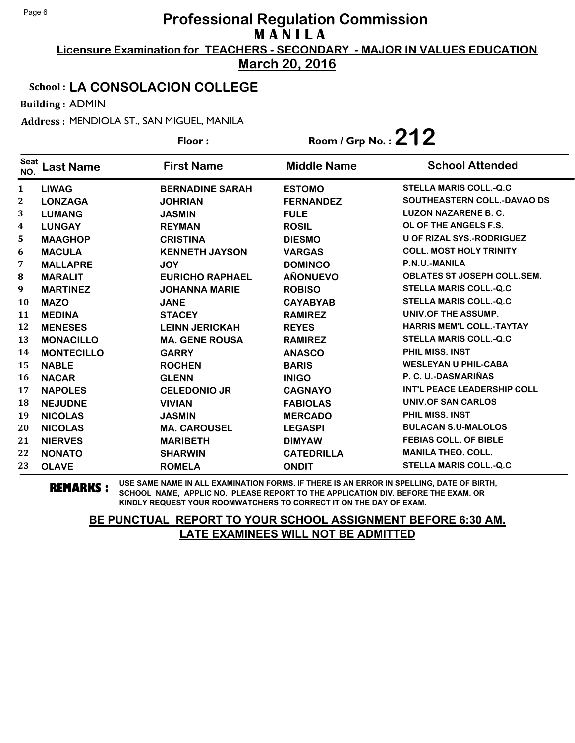**Licensure Examination for TEACHERS - SECONDARY - MAJOR IN VALUES EDUCATION March 20, 2016**

### School : **LA CONSOLACION COLLEGE**

Building : ADMIN

Address : MENDIOLA ST., SAN MIGUEL, MANILA

|                    |                   | Floor:                 | Room / Grp No. : $212$ |                                    |
|--------------------|-------------------|------------------------|------------------------|------------------------------------|
| <b>Seat</b><br>NO. | Last Name         | <b>First Name</b>      | <b>Middle Name</b>     | <b>School Attended</b>             |
| 1                  | <b>LIWAG</b>      | <b>BERNADINE SARAH</b> | <b>ESTOMO</b>          | <b>STELLA MARIS COLL.-Q.C</b>      |
| 2                  | <b>LONZAGA</b>    | <b>JOHRIAN</b>         | <b>FERNANDEZ</b>       | <b>SOUTHEASTERN COLL.-DAVAO DS</b> |
| 3                  | <b>LUMANG</b>     | <b>JASMIN</b>          | <b>FULE</b>            | <b>LUZON NAZARENE B. C.</b>        |
| 4                  | <b>LUNGAY</b>     | <b>REYMAN</b>          | <b>ROSIL</b>           | OL OF THE ANGELS F.S.              |
| 5                  | <b>MAAGHOP</b>    | <b>CRISTINA</b>        | <b>DIESMO</b>          | <b>U OF RIZAL SYS.-RODRIGUEZ</b>   |
| 6                  | <b>MACULA</b>     | <b>KENNETH JAYSON</b>  | <b>VARGAS</b>          | <b>COLL. MOST HOLY TRINITY</b>     |
| 7                  | <b>MALLAPRE</b>   | <b>JOY</b>             | <b>DOMINGO</b>         | P.N.U.-MANILA                      |
| 8                  | <b>MARALIT</b>    | <b>EURICHO RAPHAEL</b> | <b>AÑONUEVO</b>        | <b>OBLATES ST JOSEPH COLL.SEM.</b> |
| 9                  | <b>MARTINEZ</b>   | <b>JOHANNA MARIE</b>   | <b>ROBISO</b>          | <b>STELLA MARIS COLL.-Q.C</b>      |
| 10                 | <b>MAZO</b>       | <b>JANE</b>            | <b>CAYABYAB</b>        | <b>STELLA MARIS COLL.-Q.C</b>      |
| 11                 | <b>MEDINA</b>     | <b>STACEY</b>          | <b>RAMIREZ</b>         | UNIV.OF THE ASSUMP.                |
| 12                 | <b>MENESES</b>    | <b>LEINN JERICKAH</b>  | <b>REYES</b>           | <b>HARRIS MEM'L COLL.-TAYTAY</b>   |
| 13                 | <b>MONACILLO</b>  | <b>MA. GENE ROUSA</b>  | <b>RAMIREZ</b>         | <b>STELLA MARIS COLL.-Q.C</b>      |
| 14                 | <b>MONTECILLO</b> | <b>GARRY</b>           | <b>ANASCO</b>          | <b>PHIL MISS, INST</b>             |
| 15                 | <b>NABLE</b>      | <b>ROCHEN</b>          | <b>BARIS</b>           | <b>WESLEYAN U PHIL-CABA</b>        |
| 16                 | <b>NACAR</b>      | <b>GLENN</b>           | <b>INIGO</b>           | P. C. U.-DASMARIÑAS                |
| 17                 | <b>NAPOLES</b>    | <b>CELEDONIO JR</b>    | <b>CAGNAYO</b>         | INT'L PEACE LEADERSHIP COLL        |
| 18                 | <b>NEJUDNE</b>    | <b>VIVIAN</b>          | <b>FABIOLAS</b>        | UNIV.OF SAN CARLOS                 |
| 19                 | <b>NICOLAS</b>    | <b>JASMIN</b>          | <b>MERCADO</b>         | PHIL MISS, INST                    |
| 20                 | <b>NICOLAS</b>    | <b>MA. CAROUSEL</b>    | <b>LEGASPI</b>         | <b>BULACAN S.U-MALOLOS</b>         |
| 21                 | <b>NIERVES</b>    | <b>MARIBETH</b>        | <b>DIMYAW</b>          | <b>FEBIAS COLL. OF BIBLE</b>       |
| 22                 | <b>NONATO</b>     | <b>SHARWIN</b>         | <b>CATEDRILLA</b>      | <b>MANILA THEO. COLL.</b>          |
| 23                 | <b>OLAVE</b>      | <b>ROMELA</b>          | <b>ONDIT</b>           | <b>STELLA MARIS COLL.-Q.C</b>      |

**REMARKS :** USE SAME NAME IN ALL EXAMINATION FORMS. IF THERE IS AN ERROR IN SPELLING, DATE OF BIRTH, SCHOOL NAME, APPLIC NO. PLEASE REPORT TO THE APPLICATION DIV. BEFORE THE EXAM. OR KINDLY REQUEST YOUR ROOMWATCHERS TO CORRECT IT ON THE DAY OF EXAM.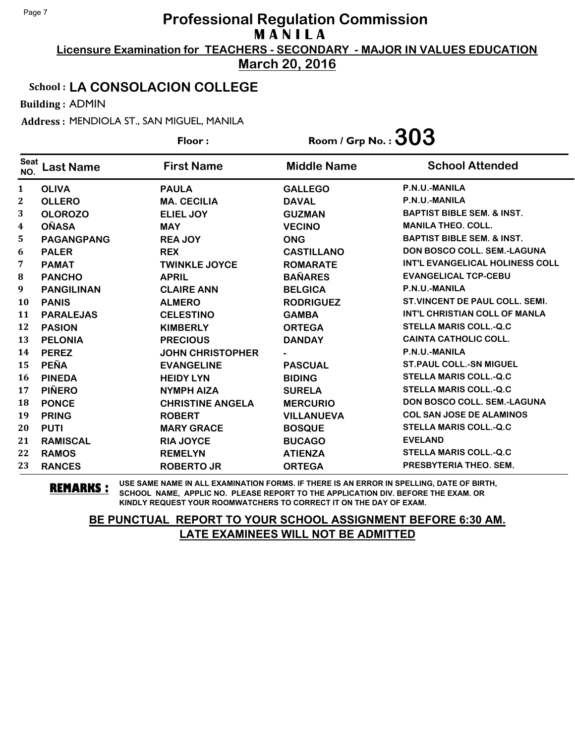**Licensure Examination for TEACHERS - SECONDARY - MAJOR IN VALUES EDUCATION March 20, 2016**

### School : **LA CONSOLACION COLLEGE**

Building : ADMIN

Address : MENDIOLA ST., SAN MIGUEL, MANILA

|                    |                   | Floor:                  | Room / Grp No. : $303$ |                                        |
|--------------------|-------------------|-------------------------|------------------------|----------------------------------------|
| <b>Seat</b><br>NO. | Last Name         | <b>First Name</b>       | <b>Middle Name</b>     | <b>School Attended</b>                 |
| 1                  | <b>OLIVA</b>      | <b>PAULA</b>            | <b>GALLEGO</b>         | P.N.U.-MANILA                          |
| 2                  | <b>OLLERO</b>     | <b>MA. CECILIA</b>      | <b>DAVAL</b>           | P.N.U.-MANILA                          |
| 3                  | <b>OLOROZO</b>    | <b>ELIEL JOY</b>        | <b>GUZMAN</b>          | <b>BAPTIST BIBLE SEM. &amp; INST.</b>  |
| 4                  | <b>OÑASA</b>      | <b>MAY</b>              | <b>VECINO</b>          | <b>MANILA THEO, COLL.</b>              |
| 5                  | <b>PAGANGPANG</b> | <b>REA JOY</b>          | <b>ONG</b>             | <b>BAPTIST BIBLE SEM. &amp; INST.</b>  |
| 6                  | <b>PALER</b>      | <b>REX</b>              | <b>CASTILLANO</b>      | DON BOSCO COLL. SEM.-LAGUNA            |
| 7                  | <b>PAMAT</b>      | <b>TWINKLE JOYCE</b>    | <b>ROMARATE</b>        | <b>INT'L EVANGELICAL HOLINESS COLL</b> |
| 8                  | <b>PANCHO</b>     | <b>APRIL</b>            | <b>BAÑARES</b>         | <b>EVANGELICAL TCP-CEBU</b>            |
| 9                  | <b>PANGILINAN</b> | <b>CLAIRE ANN</b>       | <b>BELGICA</b>         | P.N.U.-MANILA                          |
| 10                 | <b>PANIS</b>      | <b>ALMERO</b>           | <b>RODRIGUEZ</b>       | <b>ST. VINCENT DE PAUL COLL. SEMI.</b> |
| 11                 | <b>PARALEJAS</b>  | <b>CELESTINO</b>        | <b>GAMBA</b>           | <b>INT'L CHRISTIAN COLL OF MANLA</b>   |
| 12                 | <b>PASION</b>     | <b>KIMBERLY</b>         | <b>ORTEGA</b>          | <b>STELLA MARIS COLL.-Q.C</b>          |
| 13                 | <b>PELONIA</b>    | <b>PRECIOUS</b>         | <b>DANDAY</b>          | <b>CAINTA CATHOLIC COLL.</b>           |
| 14                 | <b>PEREZ</b>      | <b>JOHN CHRISTOPHER</b> |                        | P.N.U.-MANILA                          |
| 15                 | <b>PEÑA</b>       | <b>EVANGELINE</b>       | <b>PASCUAL</b>         | <b>ST. PAUL COLL.-SN MIGUEL</b>        |
| 16                 | <b>PINEDA</b>     | <b>HEIDY LYN</b>        | <b>BIDING</b>          | <b>STELLA MARIS COLL.-Q.C</b>          |
| 17                 | <b>PIÑERO</b>     | <b>NYMPH AIZA</b>       | <b>SURELA</b>          | <b>STELLA MARIS COLL.-Q.C</b>          |
| 18                 | <b>PONCE</b>      | <b>CHRISTINE ANGELA</b> | <b>MERCURIO</b>        | <b>DON BOSCO COLL. SEM.-LAGUNA</b>     |
| 19                 | <b>PRING</b>      | <b>ROBERT</b>           | <b>VILLANUEVA</b>      | <b>COL SAN JOSE DE ALAMINOS</b>        |
| 20                 | <b>PUTI</b>       | <b>MARY GRACE</b>       | <b>BOSQUE</b>          | <b>STELLA MARIS COLL.-Q.C</b>          |
| 21                 | <b>RAMISCAL</b>   | <b>RIA JOYCE</b>        | <b>BUCAGO</b>          | <b>EVELAND</b>                         |
| 22                 | <b>RAMOS</b>      | <b>REMELYN</b>          | <b>ATIENZA</b>         | <b>STELLA MARIS COLL.-Q.C</b>          |
| 23                 | <b>RANCES</b>     | <b>ROBERTO JR</b>       | <b>ORTEGA</b>          | PRESBYTERIA THEO. SEM.                 |

**REMARKS :** USE SAME NAME IN ALL EXAMINATION FORMS. IF THERE IS AN ERROR IN SPELLING, DATE OF BIRTH, SCHOOL NAME, APPLIC NO. PLEASE REPORT TO THE APPLICATION DIV. BEFORE THE EXAM. OR KINDLY REQUEST YOUR ROOMWATCHERS TO CORRECT IT ON THE DAY OF EXAM.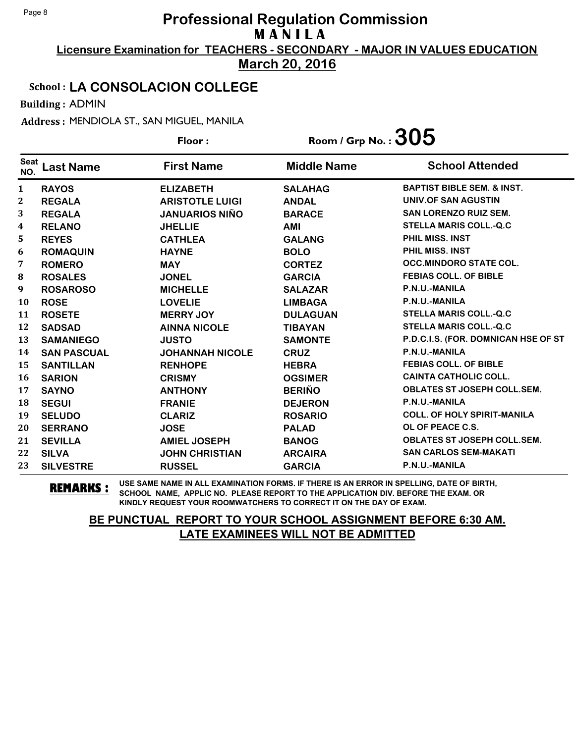**Licensure Examination for TEACHERS - SECONDARY - MAJOR IN VALUES EDUCATION March 20, 2016**

### School : **LA CONSOLACION COLLEGE**

Building : ADMIN

Address : MENDIOLA ST., SAN MIGUEL, MANILA

|                    |                    | Floor:                 | Room / Grp No. : $305$ |                                       |
|--------------------|--------------------|------------------------|------------------------|---------------------------------------|
| <b>Seat</b><br>NO. | Last Name          | <b>First Name</b>      | <b>Middle Name</b>     | <b>School Attended</b>                |
| 1                  | <b>RAYOS</b>       | <b>ELIZABETH</b>       | <b>SALAHAG</b>         | <b>BAPTIST BIBLE SEM. &amp; INST.</b> |
| 2                  | <b>REGALA</b>      | <b>ARISTOTLE LUIGI</b> | <b>ANDAL</b>           | UNIV.OF SAN AGUSTIN                   |
| 3                  | <b>REGALA</b>      | <b>JANUARIOS NIÑO</b>  | <b>BARACE</b>          | <b>SAN LORENZO RUIZ SEM.</b>          |
| 4                  | <b>RELANO</b>      | <b>JHELLIE</b>         | AMI                    | <b>STELLA MARIS COLL.-Q.C</b>         |
| 5                  | <b>REYES</b>       | <b>CATHLEA</b>         | <b>GALANG</b>          | PHIL MISS. INST                       |
| 6                  | <b>ROMAQUIN</b>    | <b>HAYNE</b>           | <b>BOLO</b>            | <b>PHIL MISS, INST</b>                |
| 7                  | <b>ROMERO</b>      | <b>MAY</b>             | <b>CORTEZ</b>          | <b>OCC.MINDORO STATE COL.</b>         |
| 8                  | <b>ROSALES</b>     | <b>JONEL</b>           | <b>GARCIA</b>          | <b>FEBIAS COLL. OF BIBLE</b>          |
| 9                  | <b>ROSAROSO</b>    | <b>MICHELLE</b>        | <b>SALAZAR</b>         | P.N.U.-MANILA                         |
| 10                 | <b>ROSE</b>        | <b>LOVELIE</b>         | <b>LIMBAGA</b>         | P.N.U.-MANILA                         |
| 11                 | <b>ROSETE</b>      | <b>MERRY JOY</b>       | <b>DULAGUAN</b>        | <b>STELLA MARIS COLL.-Q.C</b>         |
| 12                 | <b>SADSAD</b>      | <b>AINNA NICOLE</b>    | <b>TIBAYAN</b>         | <b>STELLA MARIS COLL.-Q.C</b>         |
| 13                 | <b>SAMANIEGO</b>   | <b>JUSTO</b>           | <b>SAMONTE</b>         | P.D.C.I.S. (FOR. DOMNICAN HSE OF ST   |
| 14                 | <b>SAN PASCUAL</b> | <b>JOHANNAH NICOLE</b> | <b>CRUZ</b>            | P.N.U.-MANILA                         |
| 15                 | <b>SANTILLAN</b>   | <b>RENHOPE</b>         | <b>HEBRA</b>           | <b>FEBIAS COLL. OF BIBLE</b>          |
| 16                 | <b>SARION</b>      | <b>CRISMY</b>          | <b>OGSIMER</b>         | <b>CAINTA CATHOLIC COLL.</b>          |
| 17                 | <b>SAYNO</b>       | <b>ANTHONY</b>         | <b>BERIÑO</b>          | <b>OBLATES ST JOSEPH COLL.SEM.</b>    |
| 18                 | <b>SEGUI</b>       | <b>FRANIE</b>          | <b>DEJERON</b>         | P.N.U.-MANILA                         |
| 19                 | <b>SELUDO</b>      | <b>CLARIZ</b>          | <b>ROSARIO</b>         | <b>COLL. OF HOLY SPIRIT-MANILA</b>    |
| 20                 | <b>SERRANO</b>     | <b>JOSE</b>            | <b>PALAD</b>           | OL OF PEACE C.S.                      |
| 21                 | <b>SEVILLA</b>     | <b>AMIEL JOSEPH</b>    | <b>BANOG</b>           | <b>OBLATES ST JOSEPH COLL.SEM.</b>    |
| 22                 | <b>SILVA</b>       | <b>JOHN CHRISTIAN</b>  | <b>ARCAIRA</b>         | <b>SAN CARLOS SEM-MAKATI</b>          |
| 23                 | <b>SILVESTRE</b>   | <b>RUSSEL</b>          | <b>GARCIA</b>          | P.N.U.-MANILA                         |

**REMARKS :** USE SAME NAME IN ALL EXAMINATION FORMS. IF THERE IS AN ERROR IN SPELLING, DATE OF BIRTH, SCHOOL NAME, APPLIC NO. PLEASE REPORT TO THE APPLICATION DIV. BEFORE THE EXAM. OR KINDLY REQUEST YOUR ROOMWATCHERS TO CORRECT IT ON THE DAY OF EXAM.